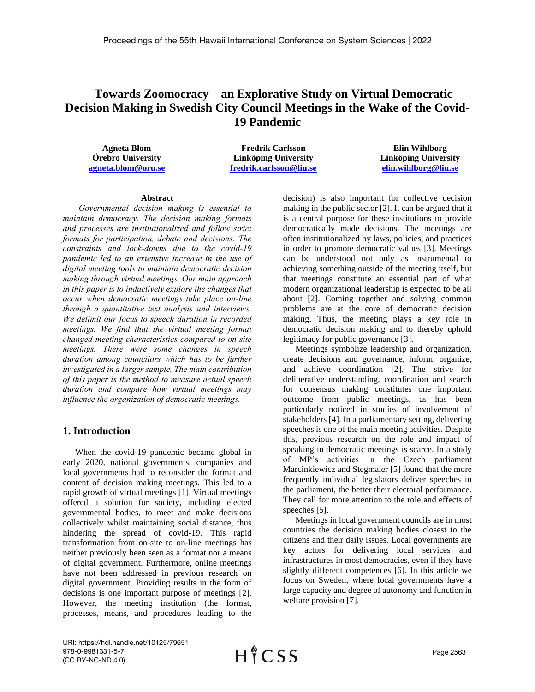# **Towards Zoomocracy – an Explorative Study on Virtual Democratic Decision Making in Swedish City Council Meetings in the Wake of the Covid-19 Pandemic**

**Agneta Blom Örebro University [agneta.blom@oru.se](mailto:agneta.blom@oru.se)**

**Fredrik Carlsson Linköping University [fredrik.carlsson@liu.se](mailto:fredrik.carlsson@liu.se)**

**Elin Wihlborg Linköping University [elin.wihlborg@liu.se](mailto:elin.wihlborg@liu.se)**

### **Abstract**

*Governmental decision making is essential to maintain democracy. The decision making formats and processes are institutionalized and follow strict formats for participation, debate and decisions. The constraints and lock-downs due to the covid-19 pandemic led to an extensive increase in the use of digital meeting tools to maintain democratic decision making through virtual meetings. Our main approach in this paper is to inductively explore the changes that occur when democratic meetings take place on-line through a quantitative text analysis and interviews. We delimit our focus to speech duration in recorded meetings. We find that the virtual meeting format changed meeting characteristics compared to on-site meetings. There were some changes in speech duration among councilors which has to be further investigated in a larger sample. The main contribution of this paper is the method to measure actual speech duration and compare how virtual meetings may influence the organization of democratic meetings.*

## **1. Introduction**

When the covid-19 pandemic became global in early 2020, national governments, companies and local governments had to reconsider the format and content of decision making meetings. This led to a rapid growth of virtual meetings [1]. Virtual meetings offered a solution for society, including elected governmental bodies, to meet and make decisions collectively whilst maintaining social distance, thus hindering the spread of covid-19. This rapid transformation from on-site to on-line meetings has neither previously been seen as a format nor a means of digital government. Furthermore, online meetings have not been addressed in previous research on digital government. Providing results in the form of decisions is one important purpose of meetings [2]. However, the meeting institution (the format, processes, means, and procedures leading to the

decision) is also important for collective decision making in the public sector [2]. It can be argued that it is a central purpose for these institutions to provide democratically made decisions. The meetings are often institutionalized by laws, policies, and practices in order to promote democratic values [3]. Meetings can be understood not only as instrumental to achieving something outside of the meeting itself, but that meetings constitute an essential part of what modern organizational leadership is expected to be all about [2]. Coming together and solving common problems are at the core of democratic decision making. Thus, the meeting plays a key role in democratic decision making and to thereby uphold legitimacy for public governance [3].

Meetings symbolize leadership and organization, create decisions and governance, inform, organize, and achieve coordination [2]. The strive for deliberative understanding, coordination and search for consensus making constitutes one important outcome from public meetings, as has been particularly noticed in studies of involvement of stakeholders [4]. In a parliamentary setting, delivering speeches is one of the main meeting activities. Despite this, previous research on the role and impact of speaking in democratic meetings is scarce. In a study of MP's activities in the Czech parliament Marcinkiewicz and Stegmaier [5] found that the more frequently individual legislators deliver speeches in the parliament, the better their electoral performance. They call for more attention to the role and effects of speeches [5].

Meetings in local government councils are in most countries the decision making bodies closest to the citizens and their daily issues. Local governments are key actors for delivering local services and infrastructures in most democracies, even if they have slightly different competences [6]. In this article we focus on Sweden, where local governments have a large capacity and degree of autonomy and function in welfare provision [7].

URI: https://hdl.handle.net/10125/79651 978-0-9981331-5-7 (CC BY-NC-ND 4.0)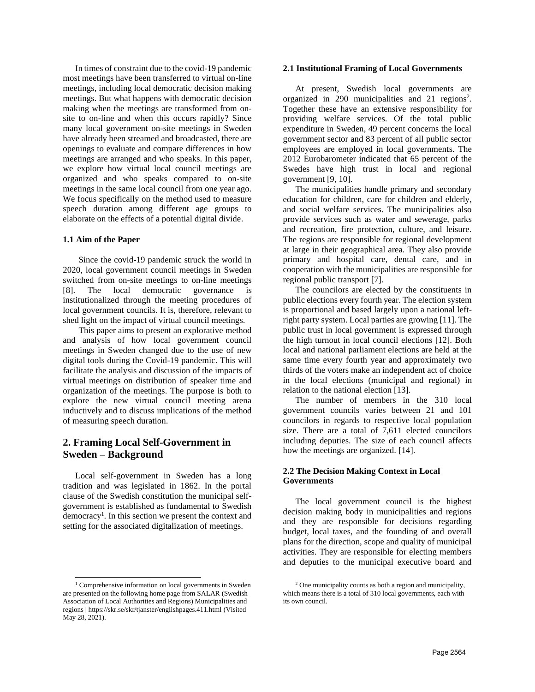In times of constraint due to the covid-19 pandemic most meetings have been transferred to virtual on-line meetings, including local democratic decision making meetings. But what happens with democratic decision making when the meetings are transformed from onsite to on-line and when this occurs rapidly? Since many local government on-site meetings in Sweden have already been streamed and broadcasted, there are openings to evaluate and compare differences in how meetings are arranged and who speaks. In this paper, we explore how virtual local council meetings are organized and who speaks compared to on-site meetings in the same local council from one year ago. We focus specifically on the method used to measure speech duration among different age groups to elaborate on the effects of a potential digital divide.

#### **1.1 Aim of the Paper**

Since the covid-19 pandemic struck the world in 2020, local government council meetings in Sweden switched from on-site meetings to on-line meetings [8]. The local democratic governance is institutionalized through the meeting procedures of local government councils. It is, therefore, relevant to shed light on the impact of virtual council meetings.

This paper aims to present an explorative method and analysis of how local government council meetings in Sweden changed due to the use of new digital tools during the Covid-19 pandemic. This will facilitate the analysis and discussion of the impacts of virtual meetings on distribution of speaker time and organization of the meetings. The purpose is both to explore the new virtual council meeting arena inductively and to discuss implications of the method of measuring speech duration.

# **2. Framing Local Self-Government in Sweden – Background**

Local self-government in Sweden has a long tradition and was legislated in 1862. In the portal clause of the Swedish constitution the municipal selfgovernment is established as fundamental to Swedish democracy<sup>1</sup>. In this section we present the context and setting for the associated digitalization of meetings.

### **2.1 Institutional Framing of Local Governments**

At present, Swedish local governments are organized in 290 municipalities and 21 regions<sup>2</sup>. Together these have an extensive responsibility for providing welfare services. Of the total public expenditure in Sweden, 49 percent concerns the local government sector and 83 percent of all public sector employees are employed in local governments. The 2012 Eurobarometer indicated that 65 percent of the Swedes have high trust in local and regional government [9, 10].

The municipalities handle primary and secondary education for children, care for children and elderly, and social welfare services. The municipalities also provide services such as water and sewerage, parks and recreation, fire protection, culture, and leisure. The regions are responsible for regional development at large in their geographical area. They also provide primary and hospital care, dental care, and in cooperation with the municipalities are responsible for regional public transport [7].

The councilors are elected by the constituents in public elections every fourth year. The election system is proportional and based largely upon a national leftright party system. Local parties are growing [11]. The public trust in local government is expressed through the high turnout in local council elections [12]. Both local and national parliament elections are held at the same time every fourth year and approximately two thirds of the voters make an independent act of choice in the local elections (municipal and regional) in relation to the national election [13].

The number of members in the 310 local government councils varies between 21 and 101 councilors in regards to respective local population size. There are a total of  $7,611$  elected councilors including deputies. The size of each council affects how the meetings are organized. [14].

### **2.2 The Decision Making Context in Local Governments**

The local government council is the highest decision making body in municipalities and regions and they are responsible for decisions regarding budget, local taxes, and the founding of and overall plans for the direction, scope and quality of municipal activities. They are responsible for electing members and deputies to the municipal executive board and

<sup>&</sup>lt;sup>1</sup> Comprehensive information on local governments in Sweden are presented on the following home page from SALAR (Swedish Association of Local Authorities and Regions) Municipalities and regions | https://skr.se/skr/tjanster/englishpages.411.html (Visited May 28, 2021).

<sup>&</sup>lt;sup>2</sup> One municipality counts as both a region and municipality, which means there is a total of 310 local governments, each with its own council.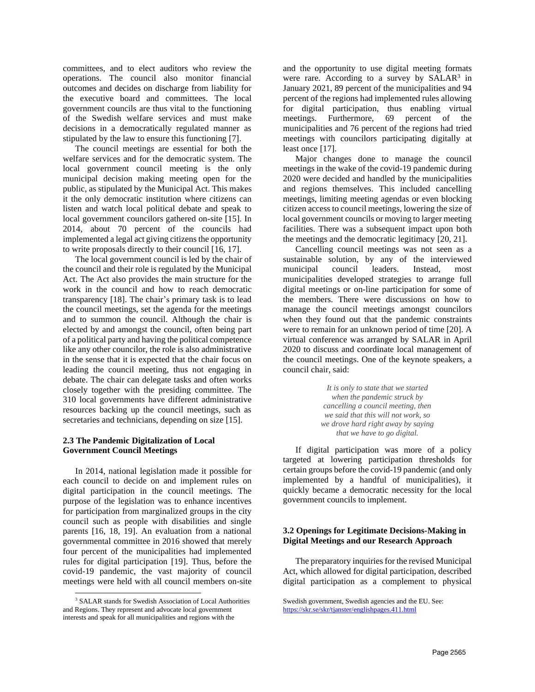committees, and to elect auditors who review the operations. The council also monitor financial outcomes and decides on discharge from liability for the executive board and committees. The local government councils are thus vital to the functioning of the Swedish welfare services and must make decisions in a democratically regulated manner as stipulated by the law to ensure this functioning [7].

The council meetings are essential for both the welfare services and for the democratic system. The local government council meeting is the only municipal decision making meeting open for the public, as stipulated by the Municipal Act. This makes it the only democratic institution where citizens can listen and watch local political debate and speak to local government councilors gathered on-site [15]. In 2014, about 70 percent of the councils had implemented a legal act giving citizens the opportunity to write proposals directly to their council [16, 17].

The local government council is led by the chair of the council and their role is regulated by the Municipal Act. The Act also provides the main structure for the work in the council and how to reach democratic transparency [18]. The chair's primary task is to lead the council meetings, set the agenda for the meetings and to summon the council. Although the chair is elected by and amongst the council, often being part of a political party and having the political competence like any other councilor, the role is also administrative in the sense that it is expected that the chair focus on leading the council meeting, thus not engaging in debate. The chair can delegate tasks and often works closely together with the presiding committee. The 310 local governments have different administrative resources backing up the council meetings, such as secretaries and technicians, depending on size [15].

### **2.3 The Pandemic Digitalization of Local Government Council Meetings**

In 2014, national legislation made it possible for each council to decide on and implement rules on digital participation in the council meetings. The purpose of the legislation was to enhance incentives for participation from marginalized groups in the city council such as people with disabilities and single parents [16, 18, 19]. An evaluation from a national governmental committee in 2016 showed that merely four percent of the municipalities had implemented rules for digital participation [19]. Thus, before the covid-19 pandemic, the vast majority of council meetings were held with all council members on-site and the opportunity to use digital meeting formats were rare. According to a survey by  $SALAR<sup>3</sup>$  in January 2021, 89 percent of the municipalities and 94 percent of the regions had implemented rules allowing for digital participation, thus enabling virtual meetings. Furthermore, 69 percent of the municipalities and 76 percent of the regions had tried meetings with councilors participating digitally at least once [17].

Major changes done to manage the council meetings in the wake of the covid-19 pandemic during 2020 were decided and handled by the municipalities and regions themselves. This included cancelling meetings, limiting meeting agendas or even blocking citizen access to council meetings, lowering the size of local government councils or moving to larger meeting facilities. There was a subsequent impact upon both the meetings and the democratic legitimacy [20, 21].

Cancelling council meetings was not seen as a sustainable solution, by any of the interviewed municipal council leaders. Instead, most municipalities developed strategies to arrange full digital meetings or on-line participation for some of the members. There were discussions on how to manage the council meetings amongst councilors when they found out that the pandemic constraints were to remain for an unknown period of time [20]. A virtual conference was arranged by SALAR in April 2020 to discuss and coordinate local management of the council meetings. One of the keynote speakers, a council chair, said:

> *It is only to state that we started when the pandemic struck by cancelling a council meeting, then we said that this will not work, so we drove hard right away by saying that we have to go digital.*

If digital participation was more of a policy targeted at lowering participation thresholds for certain groups before the covid-19 pandemic (and only implemented by a handful of municipalities), it quickly became a democratic necessity for the local government councils to implement.

### **3.2 Openings for Legitimate Decisions-Making in Digital Meetings and our Research Approach**

The preparatory inquiries for the revised Municipal Act, which allowed for digital participation, described digital participation as a complement to physical

<sup>3</sup> SALAR stands for Swedish Association of Local Authorities and Regions. They represent and advocate local government interests and speak for all municipalities and regions with the

Swedish government, Swedish agencies and the EU. See: <https://skr.se/skr/tjanster/englishpages.411.html>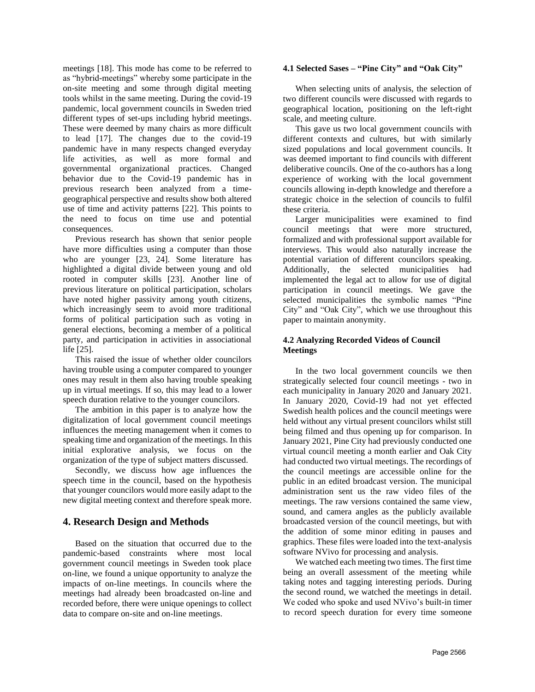meetings [18]. This mode has come to be referred to as "hybrid-meetings" whereby some participate in the on-site meeting and some through digital meeting tools whilst in the same meeting. During the covid-19 pandemic, local government councils in Sweden tried different types of set-ups including hybrid meetings. These were deemed by many chairs as more difficult to lead [17]. The changes due to the covid-19 pandemic have in many respects changed everyday life activities, as well as more formal and governmental organizational practices. Changed behavior due to the Covid-19 pandemic has in previous research been analyzed from a timegeographical perspective and results show both altered use of time and activity patterns [22]. This points to the need to focus on time use and potential consequences.

Previous research has shown that senior people have more difficulties using a computer than those who are younger [23, 24]. Some literature has highlighted a digital divide between young and old rooted in computer skills [23]. Another line of previous literature on political participation, scholars have noted higher passivity among youth citizens, which increasingly seem to avoid more traditional forms of political participation such as voting in general elections, becoming a member of a political party, and participation in activities in associational life [25].

This raised the issue of whether older councilors having trouble using a computer compared to younger ones may result in them also having trouble speaking up in virtual meetings. If so, this may lead to a lower speech duration relative to the younger councilors.

The ambition in this paper is to analyze how the digitalization of local government council meetings influences the meeting management when it comes to speaking time and organization of the meetings. In this initial explorative analysis, we focus on the organization of the type of subject matters discussed.

Secondly, we discuss how age influences the speech time in the council, based on the hypothesis that younger councilors would more easily adapt to the new digital meeting context and therefore speak more.

# **4. Research Design and Methods**

Based on the situation that occurred due to the pandemic-based constraints where most local government council meetings in Sweden took place on-line, we found a unique opportunity to analyze the impacts of on-line meetings. In councils where the meetings had already been broadcasted on-line and recorded before, there were unique openings to collect data to compare on-site and on-line meetings.

### **4.1 Selected Sases – "Pine City" and "Oak City"**

When selecting units of analysis, the selection of two different councils were discussed with regards to geographical location, positioning on the left-right scale, and meeting culture.

This gave us two local government councils with different contexts and cultures, but with similarly sized populations and local government councils. It was deemed important to find councils with different deliberative councils. One of the co-authors has a long experience of working with the local government councils allowing in-depth knowledge and therefore a strategic choice in the selection of councils to fulfil these criteria.

Larger municipalities were examined to find council meetings that were more structured, formalized and with professional support available for interviews. This would also naturally increase the potential variation of different councilors speaking. Additionally, the selected municipalities had implemented the legal act to allow for use of digital participation in council meetings. We gave the selected municipalities the symbolic names "Pine City" and "Oak City", which we use throughout this paper to maintain anonymity.

### **4.2 Analyzing Recorded Videos of Council Meetings**

In the two local government councils we then strategically selected four council meetings - two in each municipality in January 2020 and January 2021. In January 2020, Covid-19 had not yet effected Swedish health polices and the council meetings were held without any virtual present councilors whilst still being filmed and thus opening up for comparison. In January 2021, Pine City had previously conducted one virtual council meeting a month earlier and Oak City had conducted two virtual meetings. The recordings of the council meetings are accessible online for the public in an edited broadcast version. The municipal administration sent us the raw video files of the meetings. The raw versions contained the same view, sound, and camera angles as the publicly available broadcasted version of the council meetings, but with the addition of some minor editing in pauses and graphics. These files were loaded into the text-analysis software NVivo for processing and analysis.

We watched each meeting two times. The first time being an overall assessment of the meeting while taking notes and tagging interesting periods. During the second round, we watched the meetings in detail. We coded who spoke and used NVivo's built-in timer to record speech duration for every time someone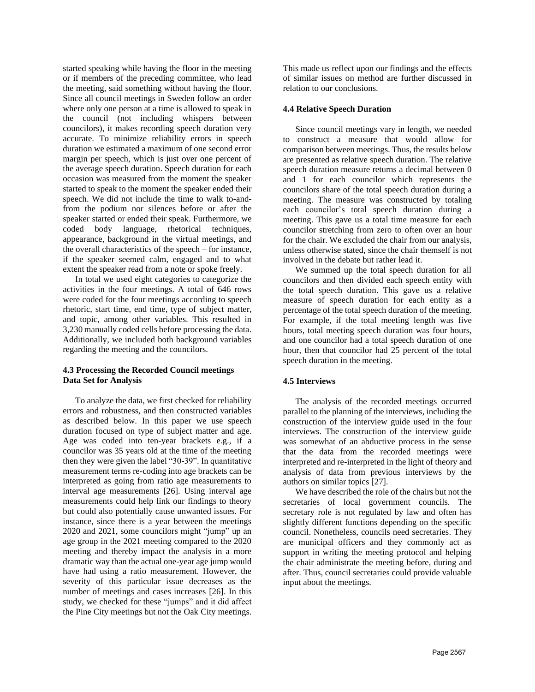started speaking while having the floor in the meeting or if members of the preceding committee, who lead the meeting, said something without having the floor. Since all council meetings in Sweden follow an order where only one person at a time is allowed to speak in the council (not including whispers between councilors), it makes recording speech duration very accurate. To minimize reliability errors in speech duration we estimated a maximum of one second error margin per speech, which is just over one percent of the average speech duration. Speech duration for each occasion was measured from the moment the speaker started to speak to the moment the speaker ended their speech. We did not include the time to walk to-andfrom the podium nor silences before or after the speaker started or ended their speak. Furthermore, we coded body language, rhetorical techniques, appearance, background in the virtual meetings, and the overall characteristics of the speech – for instance, if the speaker seemed calm, engaged and to what extent the speaker read from a note or spoke freely.

In total we used eight categories to categorize the activities in the four meetings. A total of 646 rows were coded for the four meetings according to speech rhetoric, start time, end time, type of subject matter, and topic, among other variables. This resulted in 3,230 manually coded cells before processing the data. Additionally, we included both background variables regarding the meeting and the councilors.

## **4.3 Processing the Recorded Council meetings Data Set for Analysis**

To analyze the data, we first checked for reliability errors and robustness, and then constructed variables as described below. In this paper we use speech duration focused on type of subject matter and age. Age was coded into ten-year brackets e.g., if a councilor was 35 years old at the time of the meeting then they were given the label "30-39". In quantitative measurement terms re-coding into age brackets can be interpreted as going from ratio age measurements to interval age measurements [26]. Using interval age measurements could help link our findings to theory but could also potentially cause unwanted issues. For instance, since there is a year between the meetings 2020 and 2021, some councilors might "jump" up an age group in the 2021 meeting compared to the 2020 meeting and thereby impact the analysis in a more dramatic way than the actual one-year age jump would have had using a ratio measurement. However, the severity of this particular issue decreases as the number of meetings and cases increases [26]. In this study, we checked for these "jumps" and it did affect the Pine City meetings but not the Oak City meetings.

This made us reflect upon our findings and the effects of similar issues on method are further discussed in relation to our conclusions.

### **4.4 Relative Speech Duration**

Since council meetings vary in length, we needed to construct a measure that would allow for comparison between meetings. Thus, the results below are presented as relative speech duration. The relative speech duration measure returns a decimal between 0 and 1 for each councilor which represents the councilors share of the total speech duration during a meeting. The measure was constructed by totaling each councilor's total speech duration during a meeting. This gave us a total time measure for each councilor stretching from zero to often over an hour for the chair. We excluded the chair from our analysis, unless otherwise stated, since the chair themself is not involved in the debate but rather lead it.

We summed up the total speech duration for all councilors and then divided each speech entity with the total speech duration. This gave us a relative measure of speech duration for each entity as a percentage of the total speech duration of the meeting. For example, if the total meeting length was five hours, total meeting speech duration was four hours, and one councilor had a total speech duration of one hour, then that councilor had 25 percent of the total speech duration in the meeting.

### **4.5 Interviews**

The analysis of the recorded meetings occurred parallel to the planning of the interviews, including the construction of the interview guide used in the four interviews. The construction of the interview guide was somewhat of an abductive process in the sense that the data from the recorded meetings were interpreted and re-interpreted in the light of theory and analysis of data from previous interviews by the authors on similar topics [27].

We have described the role of the chairs but not the secretaries of local government councils. The secretary role is not regulated by law and often has slightly different functions depending on the specific council. Nonetheless, councils need secretaries. They are municipal officers and they commonly act as support in writing the meeting protocol and helping the chair administrate the meeting before, during and after. Thus, council secretaries could provide valuable input about the meetings.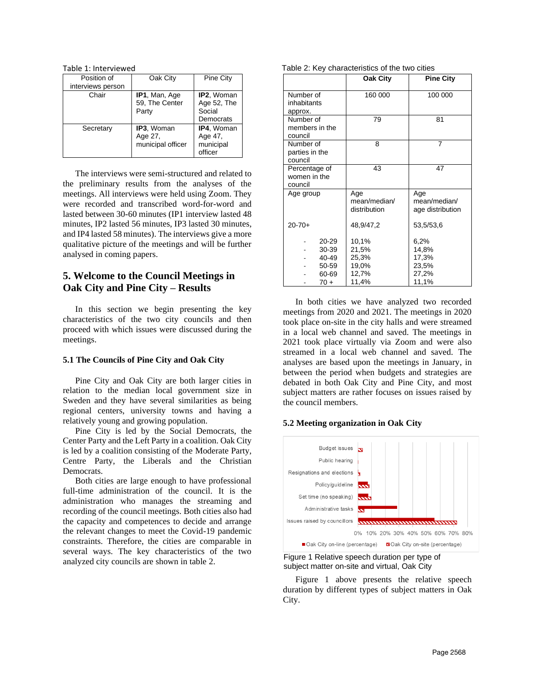Table 1: Interviewed

| Position of       | Oak City                                   | Pine City                                        |
|-------------------|--------------------------------------------|--------------------------------------------------|
| interviews person |                                            |                                                  |
| Chair             | IP1, Man, Age<br>59, The Center<br>Party   | IP2, Woman<br>Age 52, The<br>Social<br>Democrats |
| Secretary         | IP3, Woman<br>Age 27,<br>municipal officer | IP4, Woman<br>Age 47,<br>municipal<br>officer    |

The interviews were semi-structured and related to the preliminary results from the analyses of the meetings. All interviews were held using Zoom. They were recorded and transcribed word-for-word and lasted between 30-60 minutes (IP1 interview lasted 48 minutes, IP2 lasted 56 minutes, IP3 lasted 30 minutes, and IP4 lasted 58 minutes). The interviews give a more qualitative picture of the meetings and will be further analysed in coming papers.

# **5. Welcome to the Council Meetings in Oak City and Pine City – Results**

In this section we begin presenting the key characteristics of the two city councils and then proceed with which issues were discussed during the meetings.

### **5.1 The Councils of Pine City and Oak City**

Pine City and Oak City are both larger cities in relation to the median local government size in Sweden and they have several similarities as being regional centers, university towns and having a relatively young and growing population.

Pine City is led by the Social Democrats, the Center Party and the Left Party in a coalition. Oak City is led by a coalition consisting of the Moderate Party, Centre Party, the Liberals and the Christian Democrats.

Both cities are large enough to have professional full-time administration of the council. It is the administration who manages the streaming and recording of the council meetings. Both cities also had the capacity and competences to decide and arrange the relevant changes to meet the Covid-19 pandemic constraints. Therefore, the cities are comparable in several ways. The key characteristics of the two analyzed city councils are shown in table 2.

Table 2: Key characteristics of the two cities

|                                                       | Oak City                                           | <b>Pine City</b>                                  |
|-------------------------------------------------------|----------------------------------------------------|---------------------------------------------------|
| Number of<br>inhabitants<br>approx.                   | 160 000                                            | 100 000                                           |
| Number of<br>members in the<br>council                | 79                                                 | 81                                                |
| Number of<br>parties in the<br>council                | 8                                                  | 7                                                 |
| Percentage of<br>women in the<br>council              | 43                                                 | 47                                                |
| Age group                                             | Age<br>mean/median/<br>distribution                | Age<br>mean/median/<br>age distribution           |
| $20 - 70 +$                                           | 48,9/47,2                                          | 53,5/53,6                                         |
| $20 - 29$<br>30-39<br>40-49<br>50 59<br>60-69<br>70 + | 10,1%<br>21,5%<br>25,3%<br>19,0%<br>12,7%<br>11,4% | 6,2%<br>14,8%<br>17,3%<br>23,5%<br>27,2%<br>11,1% |

In both cities we have analyzed two recorded meetings from 2020 and 2021. The meetings in 2020 took place on-site in the city halls and were streamed in a local web channel and saved. The meetings in 2021 took place virtually via Zoom and were also streamed in a local web channel and saved. The analyses are based upon the meetings in January, in between the period when budgets and strategies are debated in both Oak City and Pine City, and most subject matters are rather focuses on issues raised by the council members.

### **5.2 Meeting organization in Oak City**



Figure 1 Relative speech duration per type of subject matter on-site and virtual, Oak City

Figure 1 above presents the relative speech duration by different types of subject matters in Oak City.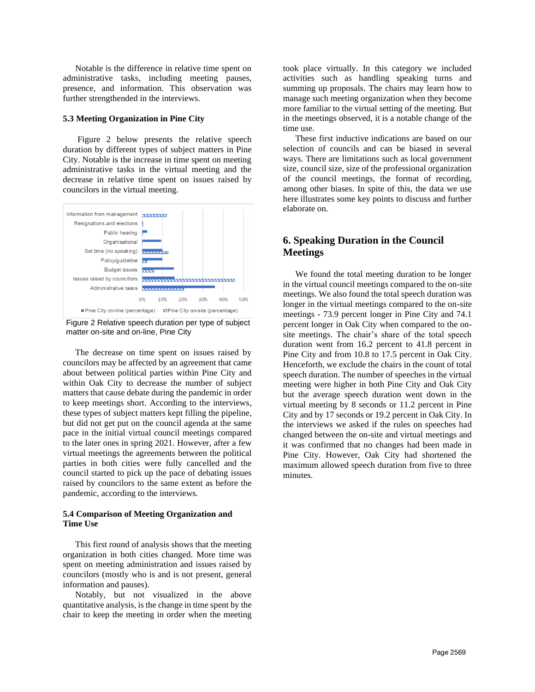Notable is the difference in relative time spent on administrative tasks, including meeting pauses, presence, and information. This observation was further strengthended in the interviews.

#### **5.3 Meeting Organization in Pine City**

Figure 2 below presents the relative speech duration by different types of subject matters in Pine City. Notable is the increase in time spent on meeting administrative tasks in the virtual meeting and the decrease in relative time spent on issues raised by councilors in the virtual meeting.



Figure 2 Relative speech duration per type of subject matter on-site and on-line, Pine City

The decrease on time spent on issues raised by councilors may be affected by an agreement that came about between political parties within Pine City and within Oak City to decrease the number of subject matters that cause debate during the pandemic in order to keep meetings short. According to the interviews, these types of subject matters kept filling the pipeline, but did not get put on the council agenda at the same pace in the initial virtual council meetings compared to the later ones in spring 2021. However, after a few virtual meetings the agreements between the political parties in both cities were fully cancelled and the council started to pick up the pace of debating issues raised by councilors to the same extent as before the pandemic, according to the interviews.

### **5.4 Comparison of Meeting Organization and Time Use**

This first round of analysis shows that the meeting organization in both cities changed. More time was spent on meeting administration and issues raised by councilors (mostly who is and is not present, general information and pauses).

Notably, but not visualized in the above quantitative analysis, is the change in time spent by the chair to keep the meeting in order when the meeting took place virtually. In this category we included activities such as handling speaking turns and summing up proposals. The chairs may learn how to manage such meeting organization when they become more familiar to the virtual setting of the meeting. But in the meetings observed, it is a notable change of the time use.

These first inductive indications are based on our selection of councils and can be biased in several ways. There are limitations such as local government size, council size, size of the professional organization of the council meetings, the format of recording, among other biases. In spite of this, the data we use here illustrates some key points to discuss and further elaborate on.

# **6. Speaking Duration in the Council Meetings**

We found the total meeting duration to be longer in the virtual council meetings compared to the on-site meetings. We also found the total speech duration was longer in the virtual meetings compared to the on-site meetings - 73.9 percent longer in Pine City and 74.1 percent longer in Oak City when compared to the onsite meetings. The chair's share of the total speech duration went from 16.2 percent to 41.8 percent in Pine City and from 10.8 to 17.5 percent in Oak City. Henceforth, we exclude the chairs in the count of total speech duration. The number of speeches in the virtual meeting were higher in both Pine City and Oak City but the average speech duration went down in the virtual meeting by 8 seconds or 11.2 percent in Pine City and by 17 seconds or 19.2 percent in Oak City. In the interviews we asked if the rules on speeches had changed between the on-site and virtual meetings and it was confirmed that no changes had been made in Pine City. However, Oak City had shortened the maximum allowed speech duration from five to three minutes.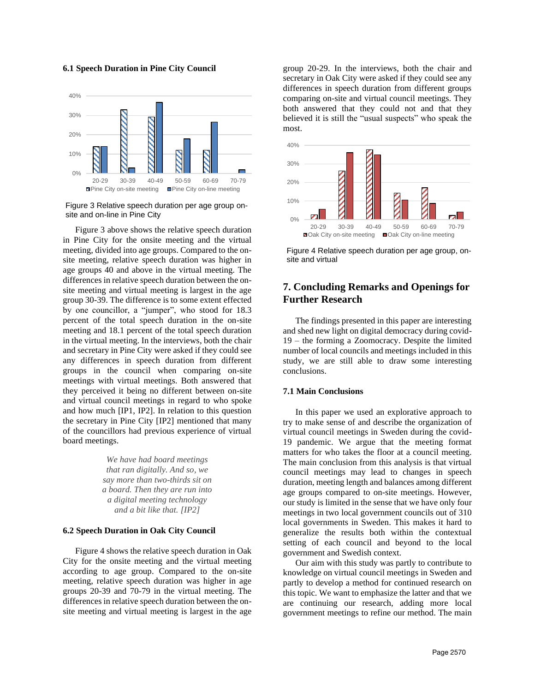#### **6.1 Speech Duration in Pine City Council**



Figure 3 Relative speech duration per age group onsite and on-line in Pine City

Figure 3 above shows the relative speech duration in Pine City for the onsite meeting and the virtual meeting, divided into age groups. Compared to the onsite meeting, relative speech duration was higher in age groups 40 and above in the virtual meeting. The differences in relative speech duration between the onsite meeting and virtual meeting is largest in the age group 30-39. The difference is to some extent effected by one councillor, a "jumper", who stood for 18.3 percent of the total speech duration in the on-site meeting and 18.1 percent of the total speech duration in the virtual meeting. In the interviews, both the chair and secretary in Pine City were asked if they could see any differences in speech duration from different groups in the council when comparing on-site meetings with virtual meetings. Both answered that they perceived it being no different between on-site and virtual council meetings in regard to who spoke and how much [IP1, IP2]. In relation to this question the secretary in Pine City [IP2] mentioned that many of the councillors had previous experience of virtual board meetings.

> *We have had board meetings that ran digitally. And so, we say more than two-thirds sit on a board. Then they are run into a digital meeting technology and a bit like that. [IP2]*

### **6.2 Speech Duration in Oak City Council**

Figure 4 shows the relative speech duration in Oak City for the onsite meeting and the virtual meeting according to age group. Compared to the on-site meeting, relative speech duration was higher in age groups 20-39 and 70-79 in the virtual meeting. The differences in relative speech duration between the onsite meeting and virtual meeting is largest in the age group 20-29. In the interviews, both the chair and secretary in Oak City were asked if they could see any differences in speech duration from different groups comparing on-site and virtual council meetings. They both answered that they could not and that they believed it is still the "usual suspects" who speak the most.



Figure 4 Relative speech duration per age group, onsite and virtual

# **7. Concluding Remarks and Openings for Further Research**

The findings presented in this paper are interesting and shed new light on digital democracy during covid-19 – the forming a Zoomocracy. Despite the limited number of local councils and meetings included in this study, we are still able to draw some interesting conclusions.

#### **7.1 Main Conclusions**

In this paper we used an explorative approach to try to make sense of and describe the organization of virtual council meetings in Sweden during the covid-19 pandemic. We argue that the meeting format matters for who takes the floor at a council meeting. The main conclusion from this analysis is that virtual council meetings may lead to changes in speech duration, meeting length and balances among different age groups compared to on-site meetings. However, our study is limited in the sense that we have only four meetings in two local government councils out of 310 local governments in Sweden. This makes it hard to generalize the results both within the contextual setting of each council and beyond to the local government and Swedish context.

Our aim with this study was partly to contribute to knowledge on virtual council meetings in Sweden and partly to develop a method for continued research on this topic. We want to emphasize the latter and that we are continuing our research, adding more local government meetings to refine our method. The main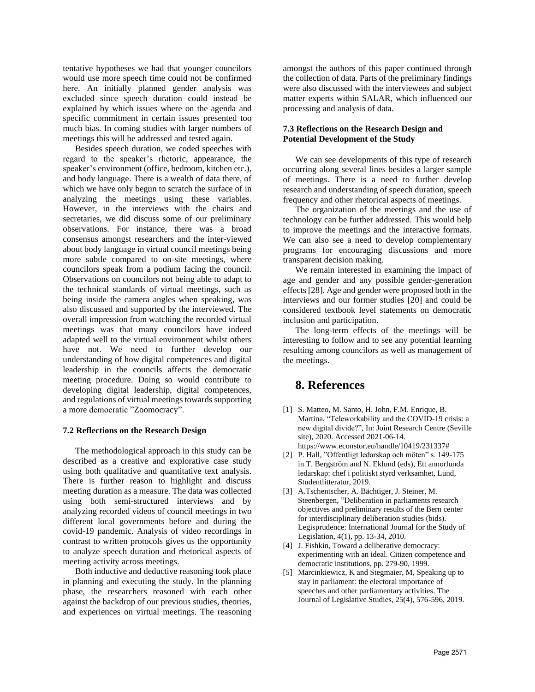tentative hypotheses we had that younger councilors would use more speech time could not be confirmed here. An initially planned gender analysis was excluded since speech duration could instead be explained by which issues where on the agenda and specific commitment in certain issues presented too much bias. In coming studies with larger numbers of meetings this will be addressed and tested again.

Besides speech duration, we coded speeches with regard to the speaker's rhetoric, appearance, the speaker's environment (office, bedroom, kitchen etc.), and body language. There is a wealth of data there, of which we have only begun to scratch the surface of in analyzing the meetings using these variables. However, in the interviews with the chairs and secretaries, we did discuss some of our preliminary observations. For instance, there was a broad consensus amongst researchers and the inter-viewed about body language in virtual council meetings being more subtle compared to on-site meetings, where councilors speak from a podium facing the council. Observations on councilors not being able to adapt to the technical standards of virtual meetings, such as being inside the camera angles when speaking, was also discussed and supported by the interviewed. The overall impression from watching the recorded virtual meetings was that many councilors have indeed adapted well to the virtual environment whilst others have not. We need to further develop our understanding of how digital competences and digital leadership in the councils affects the democratic meeting procedure. Doing so would contribute to developing digital leadership, digital competences, and regulations of virtual meetings towards supporting a more democratic "Zoomocracy".

#### **7.2 Reflections on the Research Design**

The methodological approach in this study can be described as a creative and explorative case study using both qualitative and quantitative text analysis. There is further reason to highlight and discuss meeting duration as a measure. The data was collected using both semi-structured interviews and by analyzing recorded videos of council meetings in two different local governments before and during the covid-19 pandemic. Analysis of video recordings in contrast to written protocols gives us the opportunity to analyze speech duration and rhetorical aspects of meeting activity across meetings.

Both inductive and deductive reasoning took place in planning and executing the study. In the planning phase, the researchers reasoned with each other against the backdrop of our previous studies, theories, and experiences on virtual meetings. The reasoning amongst the authors of this paper continued through the collection of data. Parts of the preliminary findings were also discussed with the interviewees and subject matter experts within SALAR, which influenced our processing and analysis of data.

### **7.3 Reflections on the Research Design and Potential Development of the Study**

We can see developments of this type of research occurring along several lines besides a larger sample of meetings. There is a need to further develop research and understanding of speech duration, speech frequency and other rhetorical aspects of meetings.

The organization of the meetings and the use of technology can be further addressed. This would help to improve the meetings and the interactive formats. We can also see a need to develop complementary programs for encouraging discussions and more transparent decision making.

We remain interested in examining the impact of age and gender and any possible gender-generation effects [28]. Age and gender were proposed both in the interviews and our former studies [20] and could be considered textbook level statements on democratic inclusion and participation.

The long-term effects of the meetings will be interesting to follow and to see any potential learning resulting among councilors as well as management of the meetings.

# **8. References**

- [1] S. Matteo, M. Santo, H. John, F.M. Enrique, B. Martina, "Teleworkability and the COVID-19 crisis: a new digital divide?", In: Joint Research Centre (Seville site), 2020. Accessed 2021-06-14. [https://www.econstor.eu/handle/10419/231337#](https://www.econstor.eu/handle/10419/231337)
- [2] P. Hall, "Offentligt ledarskap och möten" s. 149-175 in T. Bergström and N. Eklund (eds), Ett annorlunda ledarskap: chef i politiskt styrd verksamhet, Lund, Studentlitteratur, 2019.
- [3] A.Tschentscher, A. Bächtiger, J. Steiner, M. Steenbergen, "Deliberation in parliaments research objectives and preliminary results of the Bern center for interdisciplinary deliberation studies (bids). Legisprudence: International Journal for the Study of Legislation, 4(1), pp. 13-34, 2010.
- [4] J. Fishkin, Toward a deliberative democracy: experimenting with an ideal. Citizen competence and democratic institutions, pp. 279-90, 1999.
- [5] Marcinkiewicz, K and Stegmaier, M, Speaking up to stay in parliament: the electoral importance of speeches and other parliamentary activities. The Journal of Legislative Studies, 25(4), 576-596, 2019.